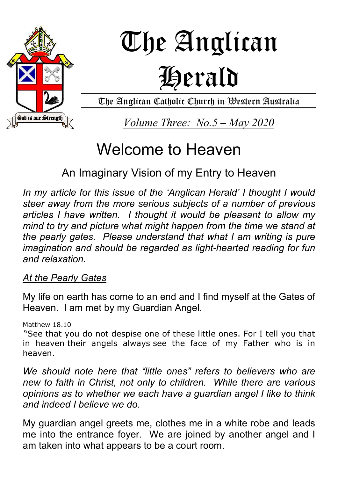

## The Anglican Herald

The Anglican Catholic Church in Western Australia

*Volume Three: No.5 – May 2020*

## Welcome to Heaven

An Imaginary Vision of my Entry to Heaven

*In my article for this issue of the 'Anglican Herald' I thought I would steer away from the more serious subjects of a number of previous articles I have written. I thought it would be pleasant to allow my mind to try and picture what might happen from the time we stand at the pearly gates. Please understand that what I am writing is pure imagination and should be regarded as light-hearted reading for fun and relaxation.*

## *At the Pearly Gates*

My life on earth has come to an end and I find myself at the Gates of Heaven. I am met by my Guardian Angel.

Matthew 18.10

"See that you do not despise one of these little ones. For I tell you that in heaven their angels always see the face of my Father who is in heaven.

*We should note here that "little ones" refers to believers who are new to faith in Christ, not only to children. While there are various opinions as to whether we each have a guardian angel I like to think and indeed I believe we do.*

My guardian angel greets me, clothes me in a white robe and leads me into the entrance foyer. We are joined by another angel and I am taken into what appears to be a court room.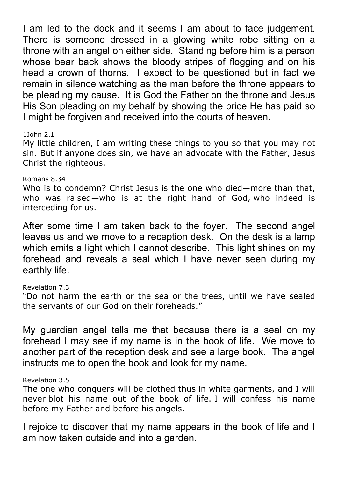I am led to the dock and it seems I am about to face judgement. There is someone dressed in a glowing white robe sitting on a throne with an angel on either side. Standing before him is a person whose bear back shows the bloody stripes of flogging and on his head a crown of thorns. I expect to be questioned but in fact we remain in silence watching as the man before the throne appears to be pleading my cause. It is God the Father on the throne and Jesus His Son pleading on my behalf by showing the price He has paid so I might be forgiven and received into the courts of heaven.

1John 2.1

My little children, I am writing these things to you so that you may not sin. But if anyone does sin, we have an advocate with the Father, Jesus Christ the righteous.

Romans 8.34 Who is to condemn? Christ Jesus is the one who died—more than that, who was raised—who is at the right hand of God, who indeed is interceding for us.

After some time I am taken back to the foyer. The second angel leaves us and we move to a reception desk. On the desk is a lamp which emits a light which I cannot describe. This light shines on my forehead and reveals a seal which I have never seen during my earthly life.

Revelation 7.3 "Do not harm the earth or the sea or the trees, until we have sealed the servants of our God on their foreheads."

My guardian angel tells me that because there is a seal on my forehead I may see if my name is in the book of life. We move to another part of the reception desk and see a large book. The angel instructs me to open the book and look for my name.

Revelation 3.5

The one who conquers will be clothed thus in white garments, and I will never blot his name out of the book of life. I will confess his name before my Father and before his angels.

I rejoice to discover that my name appears in the book of life and I am now taken outside and into a garden.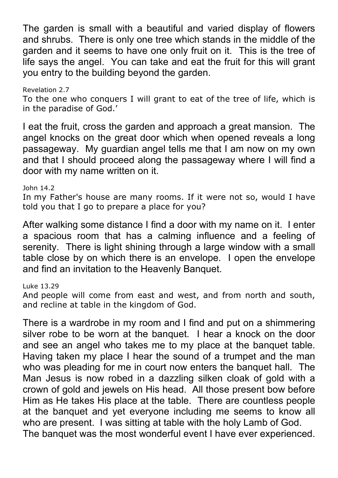The garden is small with a beautiful and varied display of flowers and shrubs. There is only one tree which stands in the middle of the garden and it seems to have one only fruit on it. This is the tree of life says the angel. You can take and eat the fruit for this will grant you entry to the building beyond the garden.

Revelation 2.7 To the one who conquers I will grant to eat of the tree of life, which is in the paradise of God.'

I eat the fruit, cross the garden and approach a great mansion. The angel knocks on the great door which when opened reveals a long passageway. My guardian angel tells me that I am now on my own and that I should proceed along the passageway where I will find a door with my name written on it.

John 14.2 In my Father's house are many rooms. If it were not so, would I have told you that I go to prepare a place for you?

After walking some distance I find a door with my name on it. I enter a spacious room that has a calming influence and a feeling of serenity. There is light shining through a large window with a small table close by on which there is an envelope. I open the envelope and find an invitation to the Heavenly Banquet.

Luke 13.29

And people will come from east and west, and from north and south, and recline at table in the kingdom of God.

There is a wardrobe in my room and I find and put on a shimmering silver robe to be worn at the banquet. I hear a knock on the door and see an angel who takes me to my place at the banquet table. Having taken my place I hear the sound of a trumpet and the man who was pleading for me in court now enters the banquet hall. The Man Jesus is now robed in a dazzling silken cloak of gold with a crown of gold and jewels on His head. All those present bow before Him as He takes His place at the table. There are countless people at the banquet and yet everyone including me seems to know all who are present. I was sitting at table with the holy Lamb of God. The banquet was the most wonderful event I have ever experienced.